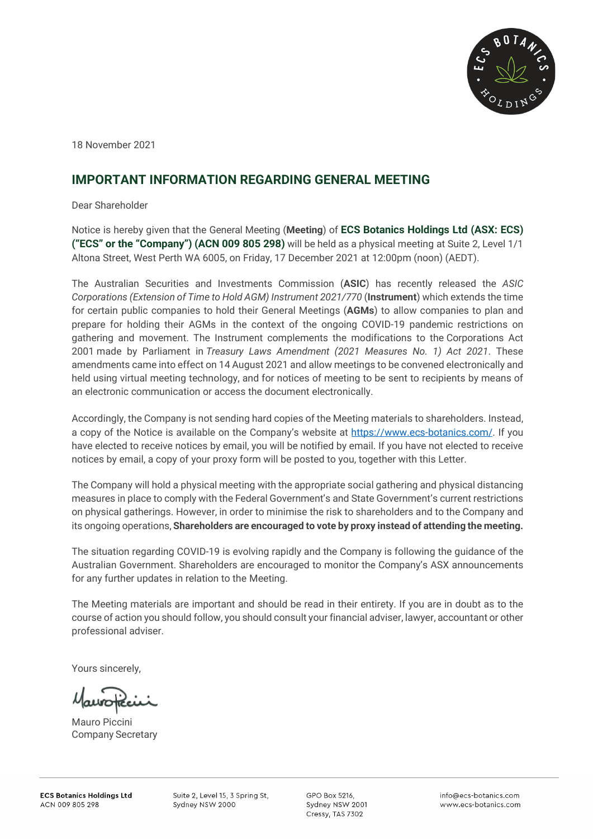

18 November 2021

## **IMPORTANT INFORMATION REGARDING GENERAL MEETING**

Dear Shareholder

Notice is hereby given that the General Meeting (**Meeting**) of **ECS Botanics Holdings Ltd (ASX: ECS) ("ECS" or the "Company") (ACN 009 805 298)** will be held as a physical meeting at Suite 2, Level 1/1 Altona Street, West Perth WA 6005, on Friday, 17 December 2021 at 12:00pm (noon) (AEDT).

The Australian Securities and Investments Commission (**ASIC**) has recently released the *ASIC Corporations (Extension of Time to Hold AGM) Instrument 2021/770* (**Instrument**) which extends the time for certain public companies to hold their General Meetings (**AGMs**) to allow companies to plan and prepare for holding their AGMs in the context of the ongoing COVID-19 pandemic restrictions on gathering and movement. The Instrument complements the modifications to the Corporations Act 2001 made by Parliament in *Treasury Laws Amendment (2021 Measures No. 1) Act 2021*. These amendments came into effect on 14 August 2021 and allow meetings to be convened electronically and held using virtual meeting technology, and for notices of meeting to be sent to recipients by means of an electronic communication or access the document electronically.

Accordingly, the Company is not sending hard copies of the Meeting materials to shareholders. Instead, a copy of the Notice is available on the Company's website at [https://www.ecs-botanics.com/.](https://www.ecs-botanics.com/) If you have elected to receive notices by email, you will be notified by email. If you have not elected to receive notices by email, a copy of your proxy form will be posted to you, together with this Letter.

The Company will hold a physical meeting with the appropriate social gathering and physical distancing measures in place to comply with the Federal Government's and State Government's current restrictions on physical gatherings. However, in order to minimise the risk to shareholders and to the Company and its ongoing operations, **Shareholders are encouraged to vote by proxy instead of attending the meeting.**

The situation regarding COVID-19 is evolving rapidly and the Company is following the guidance of the Australian Government. Shareholders are encouraged to monitor the Company's ASX announcements for any further updates in relation to the Meeting.

The Meeting materials are important and should be read in their entirety. If you are in doubt as to the course of action you should follow, you should consult your financial adviser, lawyer, accountant or other professional adviser.

Yours sincerely,

Mauro Piccini Company Secretary

Suite 2, Level 15, 3 Spring St Sydney NSW 2000

GPO Box 5216 Sydney NSW 2001 Cressy, TAS 7302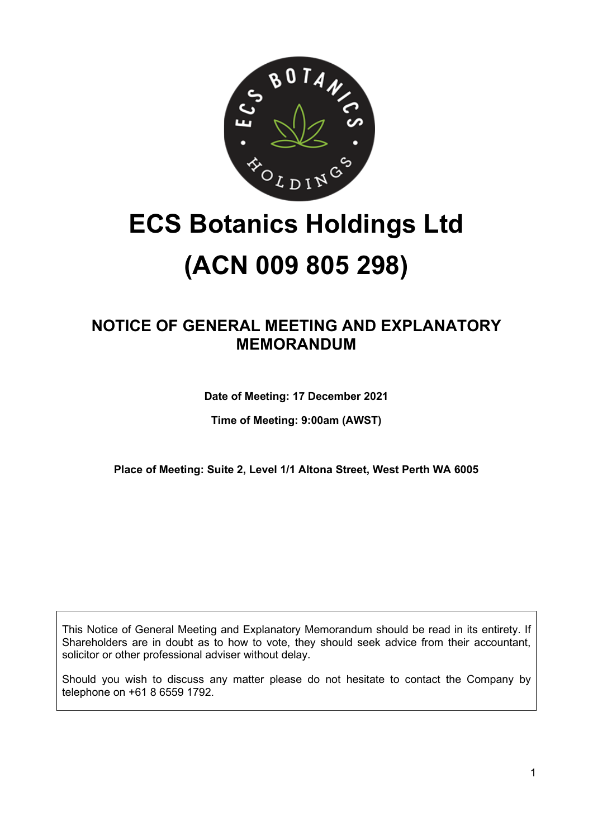

# **ECS Botanics Holdings Ltd**

# **(ACN 009 805 298)**

## **NOTICE OF GENERAL MEETING AND EXPLANATORY MEMORANDUM**

**Date of Meeting: 17 December 2021**

**Time of Meeting: 9:00am (AWST)**

**Place of Meeting: Suite 2, Level 1/1 Altona Street, West Perth WA 6005**

This Notice of General Meeting and Explanatory Memorandum should be read in its entirety. If Shareholders are in doubt as to how to vote, they should seek advice from their accountant, solicitor or other professional adviser without delay.

Should you wish to discuss any matter please do not hesitate to contact the Company by telephone on +61 8 6559 1792.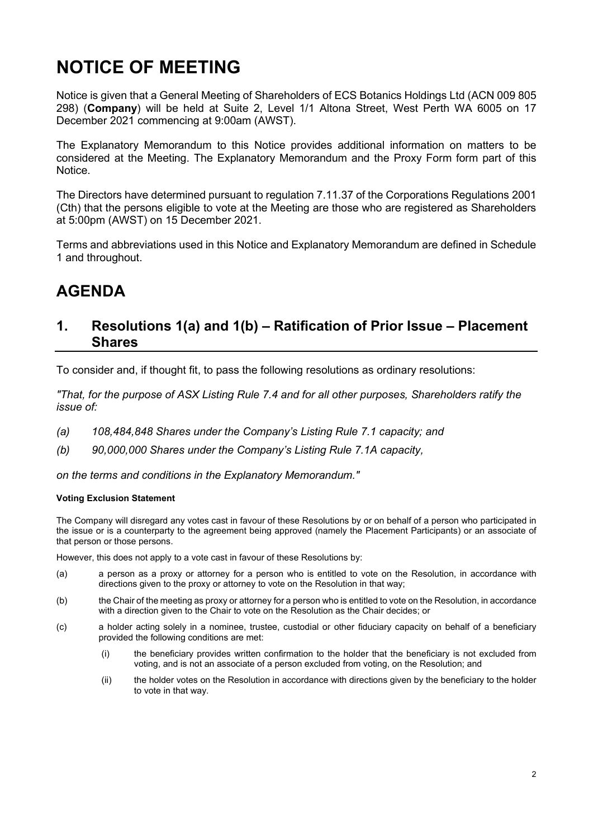## **NOTICE OF MEETING**

Notice is given that a General Meeting of Shareholders of ECS Botanics Holdings Ltd (ACN 009 805 298) (**Company**) will be held at Suite 2, Level 1/1 Altona Street, West Perth WA 6005 on 17 December 2021 commencing at 9:00am (AWST).

The Explanatory Memorandum to this Notice provides additional information on matters to be considered at the Meeting. The Explanatory Memorandum and the Proxy Form form part of this Notice.

The Directors have determined pursuant to regulation 7.11.37 of the Corporations Regulations 2001 (Cth) that the persons eligible to vote at the Meeting are those who are registered as Shareholders at 5:00pm (AWST) on 15 December 2021.

Terms and abbreviations used in this Notice and Explanatory Memorandum are defined in Schedule 1 and throughout.

## **AGENDA**

## **1. Resolutions 1(a) and 1(b) – Ratification of Prior Issue – Placement Shares**

To consider and, if thought fit, to pass the following resolutions as ordinary resolutions:

*"That, for the purpose of ASX Listing Rule 7.4 and for all other purposes, Shareholders ratify the issue of:*

- *(a) 108,484,848 Shares under the Company's Listing Rule 7.1 capacity; and*
- *(b) 90,000,000 Shares under the Company's Listing Rule 7.1A capacity,*

*on the terms and conditions in the Explanatory Memorandum."*

### **Voting Exclusion Statement**

The Company will disregard any votes cast in favour of these Resolutions by or on behalf of a person who participated in the issue or is a counterparty to the agreement being approved (namely the Placement Participants) or an associate of that person or those persons.

However, this does not apply to a vote cast in favour of these Resolutions by:

- (a) a person as a proxy or attorney for a person who is entitled to vote on the Resolution, in accordance with directions given to the proxy or attorney to vote on the Resolution in that way;
- (b) the Chair of the meeting as proxy or attorney for a person who is entitled to vote on the Resolution, in accordance with a direction given to the Chair to vote on the Resolution as the Chair decides; or
- (c) a holder acting solely in a nominee, trustee, custodial or other fiduciary capacity on behalf of a beneficiary provided the following conditions are met:
	- (i) the beneficiary provides written confirmation to the holder that the beneficiary is not excluded from voting, and is not an associate of a person excluded from voting, on the Resolution; and
	- (ii) the holder votes on the Resolution in accordance with directions given by the beneficiary to the holder to vote in that way.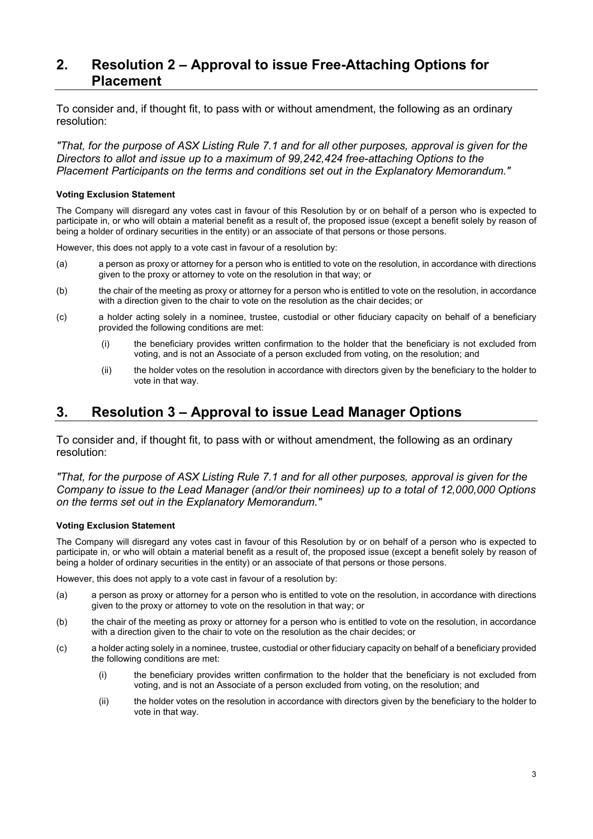## **2. Resolution 2 – Approval to issue Free-Attaching Options for Placement**

To consider and, if thought fit, to pass with or without amendment, the following as an ordinary resolution:

*"That, for the purpose of ASX Listing Rule 7.1 and for all other purposes, approval is given for the Directors to allot and issue up to a maximum of 99,242,424 free-attaching Options to the Placement Participants on the terms and conditions set out in the Explanatory Memorandum."*

### **Voting Exclusion Statement**

The Company will disregard any votes cast in favour of this Resolution by or on behalf of a person who is expected to participate in, or who will obtain a material benefit as a result of, the proposed issue (except a benefit solely by reason of being a holder of ordinary securities in the entity) or an associate of that persons or those persons.

However, this does not apply to a vote cast in favour of a resolution by:

- (a) a person as proxy or attorney for a person who is entitled to vote on the resolution, in accordance with directions given to the proxy or attorney to vote on the resolution in that way; or
- (b) the chair of the meeting as proxy or attorney for a person who is entitled to vote on the resolution, in accordance with a direction given to the chair to vote on the resolution as the chair decides; or
- (c) a holder acting solely in a nominee, trustee, custodial or other fiduciary capacity on behalf of a beneficiary provided the following conditions are met:
	- (i) the beneficiary provides written confirmation to the holder that the beneficiary is not excluded from voting, and is not an Associate of a person excluded from voting, on the resolution; and
	- (ii) the holder votes on the resolution in accordance with directors given by the beneficiary to the holder to vote in that way.

## **3. Resolution 3 – Approval to issue Lead Manager Options**

To consider and, if thought fit, to pass with or without amendment, the following as an ordinary resolution:

*"That, for the purpose of ASX Listing Rule 7.1 and for all other purposes, approval is given for the Company to issue to the Lead Manager (and/or their nominees) up to a total of 12,000,000 Options on the terms set out in the Explanatory Memorandum."*

### **Voting Exclusion Statement**

The Company will disregard any votes cast in favour of this Resolution by or on behalf of a person who is expected to participate in, or who will obtain a material benefit as a result of, the proposed issue (except a benefit solely by reason of being a holder of ordinary securities in the entity) or an associate of that persons or those persons.

However, this does not apply to a vote cast in favour of a resolution by:

- (a) a person as proxy or attorney for a person who is entitled to vote on the resolution, in accordance with directions given to the proxy or attorney to vote on the resolution in that way; or
- (b) the chair of the meeting as proxy or attorney for a person who is entitled to vote on the resolution, in accordance with a direction given to the chair to vote on the resolution as the chair decides; or
- (c) a holder acting solely in a nominee, trustee, custodial or other fiduciary capacity on behalf of a beneficiary provided the following conditions are met:
	- (i) the beneficiary provides written confirmation to the holder that the beneficiary is not excluded from voting, and is not an Associate of a person excluded from voting, on the resolution; and
	- (ii) the holder votes on the resolution in accordance with directors given by the beneficiary to the holder to vote in that way.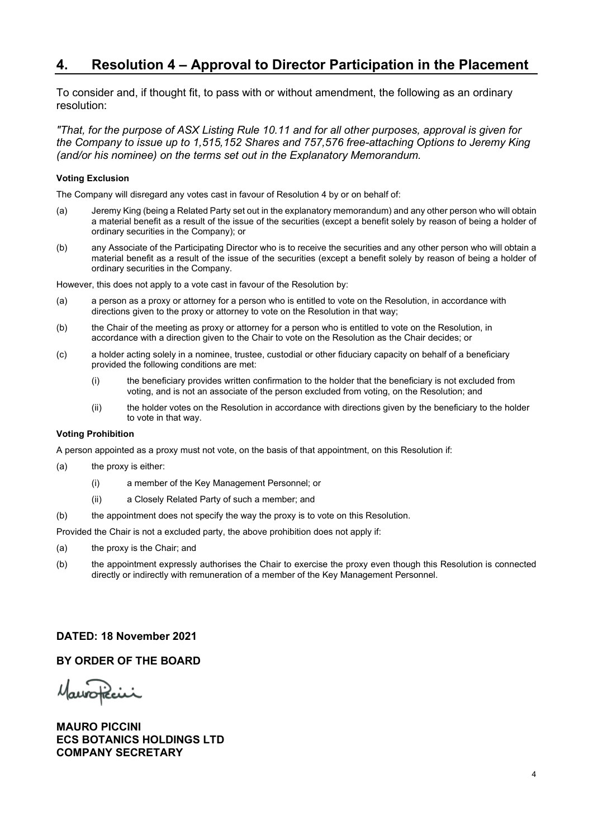## **4. Resolution 4 – Approval to Director Participation in the Placement**

To consider and, if thought fit, to pass with or without amendment, the following as an ordinary resolution:

*"That, for the purpose of ASX Listing Rule 10.11 and for all other purposes, approval is given for the Company to issue up to 1,515,152 Shares and 757,576 free-attaching Options to Jeremy King (and/or his nominee) on the terms set out in the Explanatory Memorandum.*

### **Voting Exclusion**

The Company will disregard any votes cast in favour of Resolution 4 by or on behalf of:

- (a) Jeremy King (being a Related Party set out in the explanatory memorandum) and any other person who will obtain a material benefit as a result of the issue of the securities (except a benefit solely by reason of being a holder of ordinary securities in the Company); or
- (b) any Associate of the Participating Director who is to receive the securities and any other person who will obtain a material benefit as a result of the issue of the securities (except a benefit solely by reason of being a holder of ordinary securities in the Company.

However, this does not apply to a vote cast in favour of the Resolution by:

- (a) a person as a proxy or attorney for a person who is entitled to vote on the Resolution, in accordance with directions given to the proxy or attorney to vote on the Resolution in that way;
- (b) the Chair of the meeting as proxy or attorney for a person who is entitled to vote on the Resolution, in accordance with a direction given to the Chair to vote on the Resolution as the Chair decides; or
- (c) a holder acting solely in a nominee, trustee, custodial or other fiduciary capacity on behalf of a beneficiary provided the following conditions are met:
	- (i) the beneficiary provides written confirmation to the holder that the beneficiary is not excluded from voting, and is not an associate of the person excluded from voting, on the Resolution; and
	- (ii) the holder votes on the Resolution in accordance with directions given by the beneficiary to the holder to vote in that way.

### **Voting Prohibition**

A person appointed as a proxy must not vote, on the basis of that appointment, on this Resolution if:

- (a) the proxy is either:
	- (i) a member of the Key Management Personnel; or
	- (ii) a Closely Related Party of such a member; and
- (b) the appointment does not specify the way the proxy is to vote on this Resolution.

Provided the Chair is not a excluded party, the above prohibition does not apply if:

- (a) the proxy is the Chair; and
- (b) the appointment expressly authorises the Chair to exercise the proxy even though this Resolution is connected directly or indirectly with remuneration of a member of the Key Management Personnel.

**DATED: 18 November 2021**

## **BY ORDER OF THE BOARD**

Mauroticini

**MAURO PICCINI ECS BOTANICS HOLDINGS LTD COMPANY SECRETARY**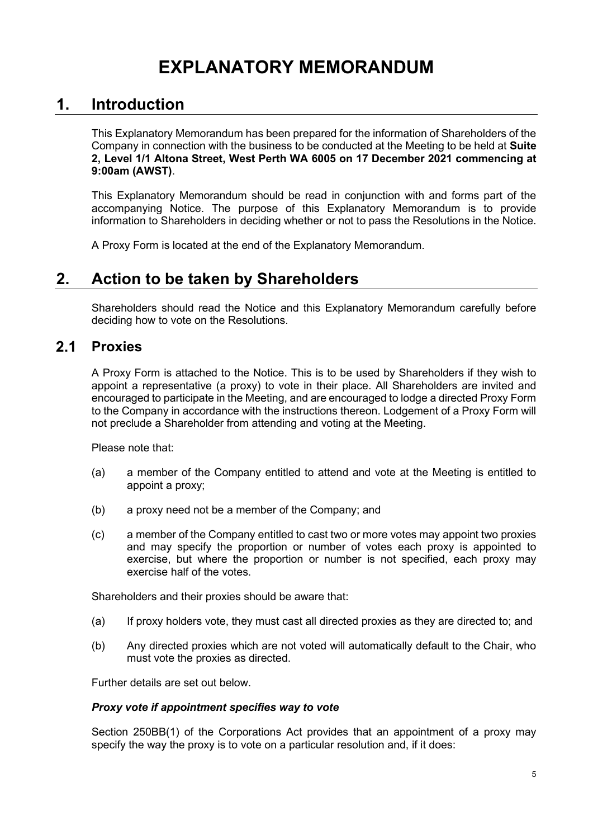## **1. Introduction**

This Explanatory Memorandum has been prepared for the information of Shareholders of the Company in connection with the business to be conducted at the Meeting to be held at **Suite 2, Level 1/1 Altona Street, West Perth WA 6005 on 17 December 2021 commencing at 9:00am (AWST)**.

This Explanatory Memorandum should be read in conjunction with and forms part of the accompanying Notice. The purpose of this Explanatory Memorandum is to provide information to Shareholders in deciding whether or not to pass the Resolutions in the Notice.

A Proxy Form is located at the end of the Explanatory Memorandum.

## **2. Action to be taken by Shareholders**

Shareholders should read the Notice and this Explanatory Memorandum carefully before deciding how to vote on the Resolutions.

#### $2.1$ **Proxies**

A Proxy Form is attached to the Notice. This is to be used by Shareholders if they wish to appoint a representative (a proxy) to vote in their place. All Shareholders are invited and encouraged to participate in the Meeting, and are encouraged to lodge a directed Proxy Form to the Company in accordance with the instructions thereon. Lodgement of a Proxy Form will not preclude a Shareholder from attending and voting at the Meeting.

Please note that:

- (a) a member of the Company entitled to attend and vote at the Meeting is entitled to appoint a proxy;
- (b) a proxy need not be a member of the Company; and
- (c) a member of the Company entitled to cast two or more votes may appoint two proxies and may specify the proportion or number of votes each proxy is appointed to exercise, but where the proportion or number is not specified, each proxy may exercise half of the votes.

Shareholders and their proxies should be aware that:

- (a) If proxy holders vote, they must cast all directed proxies as they are directed to; and
- (b) Any directed proxies which are not voted will automatically default to the Chair, who must vote the proxies as directed.

Further details are set out below.

## *Proxy vote if appointment specifies way to vote*

Section 250BB(1) of the Corporations Act provides that an appointment of a proxy may specify the way the proxy is to vote on a particular resolution and, if it does: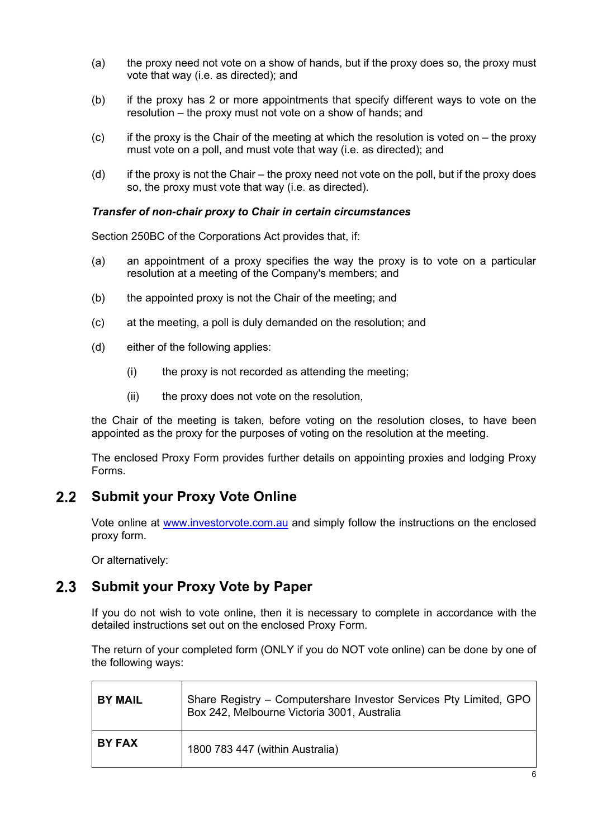- (a) the proxy need not vote on a show of hands, but if the proxy does so, the proxy must vote that way (i.e. as directed); and
- (b) if the proxy has 2 or more appointments that specify different ways to vote on the resolution – the proxy must not vote on a show of hands; and
- (c) if the proxy is the Chair of the meeting at which the resolution is voted on the proxy must vote on a poll, and must vote that way (i.e. as directed); and
- (d) if the proxy is not the Chair the proxy need not vote on the poll, but if the proxy does so, the proxy must vote that way (i.e. as directed).

## *Transfer of non-chair proxy to Chair in certain circumstances*

Section 250BC of the Corporations Act provides that, if:

- (a) an appointment of a proxy specifies the way the proxy is to vote on a particular resolution at a meeting of the Company's members; and
- (b) the appointed proxy is not the Chair of the meeting; and
- (c) at the meeting, a poll is duly demanded on the resolution; and
- (d) either of the following applies:
	- (i) the proxy is not recorded as attending the meeting;
	- (ii) the proxy does not vote on the resolution,

the Chair of the meeting is taken, before voting on the resolution closes, to have been appointed as the proxy for the purposes of voting on the resolution at the meeting.

The enclosed Proxy Form provides further details on appointing proxies and lodging Proxy Forms.

#### $2.2$ **Submit your Proxy Vote Online**

Vote online at [www.investorvote.com.au](http://www.investorvote.com.au/) and simply follow the instructions on the enclosed proxy form.

Or alternatively:

#### $2.3$ **Submit your Proxy Vote by Paper**

If you do not wish to vote online, then it is necessary to complete in accordance with the detailed instructions set out on the enclosed Proxy Form.

The return of your completed form (ONLY if you do NOT vote online) can be done by one of the following ways:

| <b>BY MAIL</b> | Share Registry – Computershare Investor Services Pty Limited, GPO<br>Box 242, Melbourne Victoria 3001, Australia |
|----------------|------------------------------------------------------------------------------------------------------------------|
| <b>BY FAX</b>  | 1800 783 447 (within Australia)                                                                                  |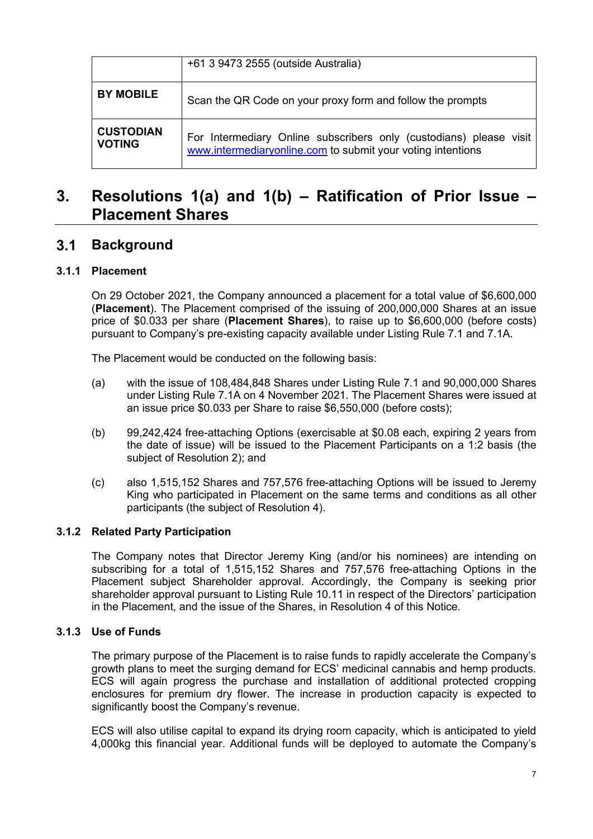|                                   | +61 3 9473 2555 (outside Australia)                                                                                               |
|-----------------------------------|-----------------------------------------------------------------------------------------------------------------------------------|
| <b>BY MOBILE</b>                  | Scan the QR Code on your proxy form and follow the prompts                                                                        |
| <b>CUSTODIAN</b><br><b>VOTING</b> | For Intermediary Online subscribers only (custodians) please visit<br>www.intermediaryonline.com to submit your voting intentions |

## **3. Resolutions 1(a) and 1(b) – Ratification of Prior Issue – Placement Shares**

#### $3.1$ **Background**

## **3.1.1 Placement**

On 29 October 2021, the Company announced a placement for a total value of \$6,600,000 (**Placement**). The Placement comprised of the issuing of 200,000,000 Shares at an issue price of \$0.033 per share (**Placement Shares**), to raise up to \$6,600,000 (before costs) pursuant to Company's pre-existing capacity available under Listing Rule 7.1 and 7.1A.

The Placement would be conducted on the following basis:

- (a) with the issue of 108,484,848 Shares under Listing Rule 7.1 and 90,000,000 Shares under Listing Rule 7.1A on 4 November 2021. The Placement Shares were issued at an issue price \$0.033 per Share to raise \$6,550,000 (before costs);
- (b) 99,242,424 free-attaching Options (exercisable at \$0.08 each, expiring 2 years from the date of issue) will be issued to the Placement Participants on a 1:2 basis (the subject of Resolution 2); and
- (c) also 1,515,152 Shares and 757,576 free-attaching Options will be issued to Jeremy King who participated in Placement on the same terms and conditions as all other participants (the subject of Resolution 4).

## **3.1.2 Related Party Participation**

The Company notes that Director Jeremy King (and/or his nominees) are intending on subscribing for a total of 1,515,152 Shares and 757,576 free-attaching Options in the Placement subject Shareholder approval. Accordingly, the Company is seeking prior shareholder approval pursuant to Listing Rule 10.11 in respect of the Directors' participation in the Placement, and the issue of the Shares, in Resolution 4 of this Notice.

## **3.1.3 Use of Funds**

The primary purpose of the Placement is to raise funds to rapidly accelerate the Company's growth plans to meet the surging demand for ECS' medicinal cannabis and hemp products. ECS will again progress the purchase and installation of additional protected cropping enclosures for premium dry flower. The increase in production capacity is expected to significantly boost the Company's revenue.

ECS will also utilise capital to expand its drying room capacity, which is anticipated to yield 4,000kg this financial year. Additional funds will be deployed to automate the Company's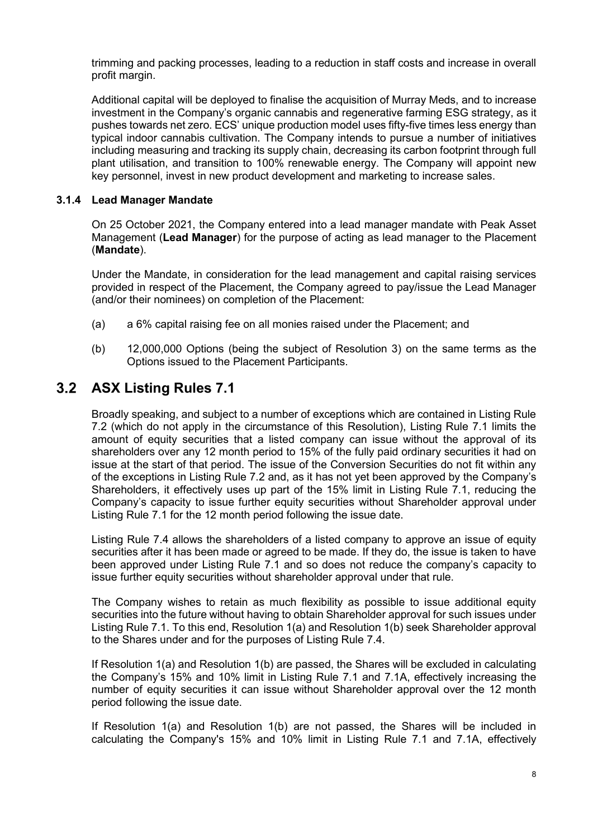trimming and packing processes, leading to a reduction in staff costs and increase in overall profit margin.

Additional capital will be deployed to finalise the acquisition of Murray Meds, and to increase investment in the Company's organic cannabis and regenerative farming ESG strategy, as it pushes towards net zero. ECS' unique production model uses fifty-five times less energy than typical indoor cannabis cultivation. The Company intends to pursue a number of initiatives including measuring and tracking its supply chain, decreasing its carbon footprint through full plant utilisation, and transition to 100% renewable energy. The Company will appoint new key personnel, invest in new product development and marketing to increase sales.

## **3.1.4 Lead Manager Mandate**

On 25 October 2021, the Company entered into a lead manager mandate with Peak Asset Management (**Lead Manager**) for the purpose of acting as lead manager to the Placement (**Mandate**).

Under the Mandate, in consideration for the lead management and capital raising services provided in respect of the Placement, the Company agreed to pay/issue the Lead Manager (and/or their nominees) on completion of the Placement:

- (a) a 6% capital raising fee on all monies raised under the Placement; and
- (b) 12,000,000 Options (being the subject of Resolution 3) on the same terms as the Options issued to the Placement Participants.

#### $3.2$ **ASX Listing Rules 7.1**

Broadly speaking, and subject to a number of exceptions which are contained in Listing Rule 7.2 (which do not apply in the circumstance of this Resolution), Listing Rule 7.1 limits the amount of equity securities that a listed company can issue without the approval of its shareholders over any 12 month period to 15% of the fully paid ordinary securities it had on issue at the start of that period. The issue of the Conversion Securities do not fit within any of the exceptions in Listing Rule 7.2 and, as it has not yet been approved by the Company's Shareholders, it effectively uses up part of the 15% limit in Listing Rule 7.1, reducing the Company's capacity to issue further equity securities without Shareholder approval under Listing Rule 7.1 for the 12 month period following the issue date.

Listing Rule 7.4 allows the shareholders of a listed company to approve an issue of equity securities after it has been made or agreed to be made. If they do, the issue is taken to have been approved under Listing Rule 7.1 and so does not reduce the company's capacity to issue further equity securities without shareholder approval under that rule.

The Company wishes to retain as much flexibility as possible to issue additional equity securities into the future without having to obtain Shareholder approval for such issues under Listing Rule 7.1. To this end, Resolution 1(a) and Resolution 1(b) seek Shareholder approval to the Shares under and for the purposes of Listing Rule 7.4.

If Resolution 1(a) and Resolution 1(b) are passed, the Shares will be excluded in calculating the Company's 15% and 10% limit in Listing Rule 7.1 and 7.1A, effectively increasing the number of equity securities it can issue without Shareholder approval over the 12 month period following the issue date.

If Resolution 1(a) and Resolution 1(b) are not passed, the Shares will be included in calculating the Company's 15% and 10% limit in Listing Rule 7.1 and 7.1A, effectively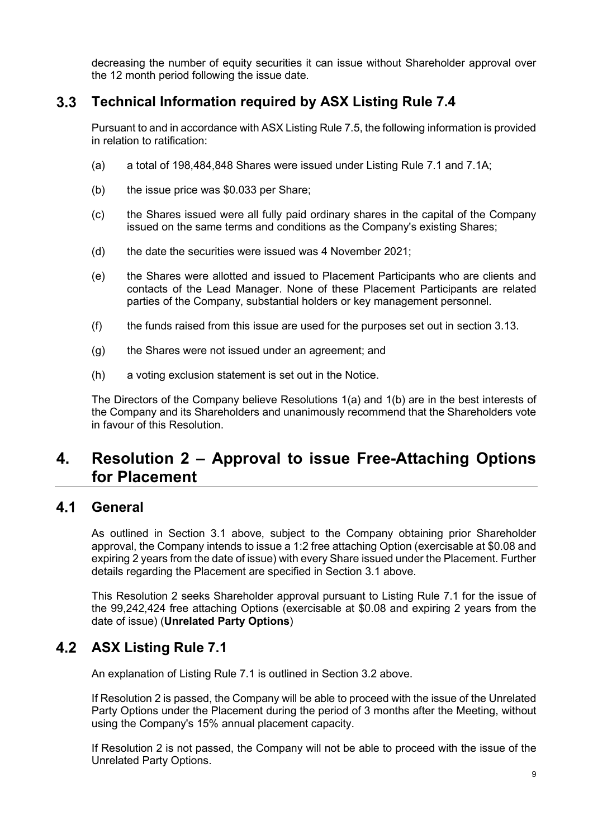decreasing the number of equity securities it can issue without Shareholder approval over the 12 month period following the issue date.

#### $3.3$ **Technical Information required by ASX Listing Rule 7.4**

Pursuant to and in accordance with ASX Listing Rule 7.5, the following information is provided in relation to ratification:

- (a) a total of 198,484,848 Shares were issued under Listing Rule 7.1 and 7.1A;
- (b) the issue price was \$0.033 per Share;
- (c) the Shares issued were all fully paid ordinary shares in the capital of the Company issued on the same terms and conditions as the Company's existing Shares;
- (d) the date the securities were issued was 4 November 2021;
- (e) the Shares were allotted and issued to Placement Participants who are clients and contacts of the Lead Manager. None of these Placement Participants are related parties of the Company, substantial holders or key management personnel.
- (f) the funds raised from this issue are used for the purposes set out in section 3.13.
- (g) the Shares were not issued under an agreement; and
- (h) a voting exclusion statement is set out in the Notice.

The Directors of the Company believe Resolutions 1(a) and 1(b) are in the best interests of the Company and its Shareholders and unanimously recommend that the Shareholders vote in favour of this Resolution.

## **4. Resolution 2 – Approval to issue Free-Attaching Options for Placement**

#### $4.1$ **General**

As outlined in Section 3.1 above, subject to the Company obtaining prior Shareholder approval, the Company intends to issue a 1:2 free attaching Option (exercisable at \$0.08 and expiring 2 years from the date of issue) with every Share issued under the Placement. Further details regarding the Placement are specified in Section 3.1 above.

This Resolution 2 seeks Shareholder approval pursuant to Listing Rule 7.1 for the issue of the 99,242,424 free attaching Options (exercisable at \$0.08 and expiring 2 years from the date of issue) (**Unrelated Party Options**)

## **ASX Listing Rule 7.1**

An explanation of Listing Rule 7.1 is outlined in Section 3.2 above.

If Resolution 2 is passed, the Company will be able to proceed with the issue of the Unrelated Party Options under the Placement during the period of 3 months after the Meeting, without using the Company's 15% annual placement capacity.

If Resolution 2 is not passed, the Company will not be able to proceed with the issue of the Unrelated Party Options.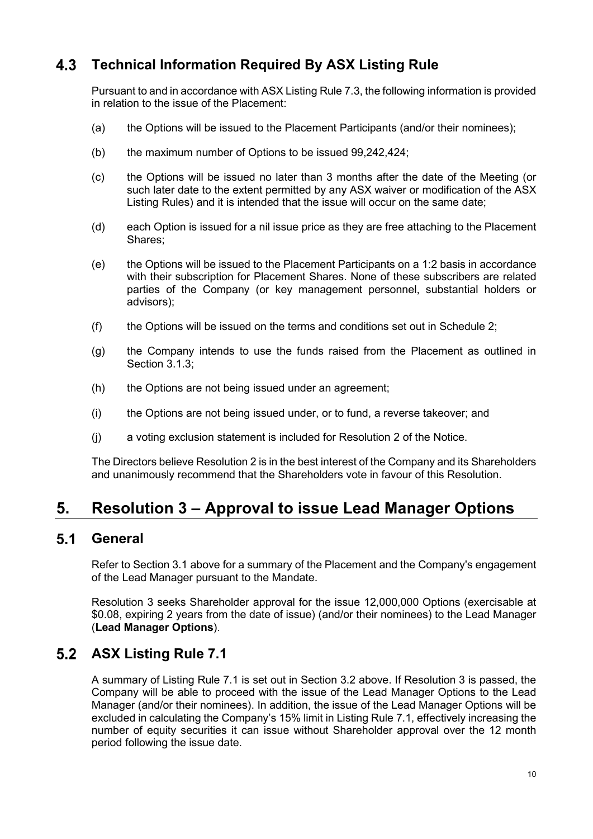#### $4.3$ **Technical Information Required By ASX Listing Rule**

Pursuant to and in accordance with ASX Listing Rule 7.3, the following information is provided in relation to the issue of the Placement:

- (a) the Options will be issued to the Placement Participants (and/or their nominees);
- (b) the maximum number of Options to be issued 99,242,424;
- (c) the Options will be issued no later than 3 months after the date of the Meeting (or such later date to the extent permitted by any ASX waiver or modification of the ASX Listing Rules) and it is intended that the issue will occur on the same date;
- (d) each Option is issued for a nil issue price as they are free attaching to the Placement Shares;
- (e) the Options will be issued to the Placement Participants on a 1:2 basis in accordance with their subscription for Placement Shares. None of these subscribers are related parties of the Company (or key management personnel, substantial holders or advisors);
- (f) the Options will be issued on the terms and conditions set out in Schedule 2;
- (g) the Company intends to use the funds raised from the Placement as outlined in Section 3.1.3;
- (h) the Options are not being issued under an agreement;
- (i) the Options are not being issued under, or to fund, a reverse takeover; and
- (j) a voting exclusion statement is included for Resolution 2 of the Notice.

The Directors believe Resolution 2 is in the best interest of the Company and its Shareholders and unanimously recommend that the Shareholders vote in favour of this Resolution.

## **5. Resolution 3 – Approval to issue Lead Manager Options**

#### $5.1$ **General**

Refer to Section 3.1 above for a summary of the Placement and the Company's engagement of the Lead Manager pursuant to the Mandate.

Resolution 3 seeks Shareholder approval for the issue 12,000,000 Options (exercisable at \$0.08, expiring 2 years from the date of issue) (and/or their nominees) to the Lead Manager (**Lead Manager Options**).

## **ASX Listing Rule 7.1**

A summary of Listing Rule 7.1 is set out in Section 3.2 above. If Resolution 3 is passed, the Company will be able to proceed with the issue of the Lead Manager Options to the Lead Manager (and/or their nominees). In addition, the issue of the Lead Manager Options will be excluded in calculating the Company's 15% limit in Listing Rule 7.1, effectively increasing the number of equity securities it can issue without Shareholder approval over the 12 month period following the issue date.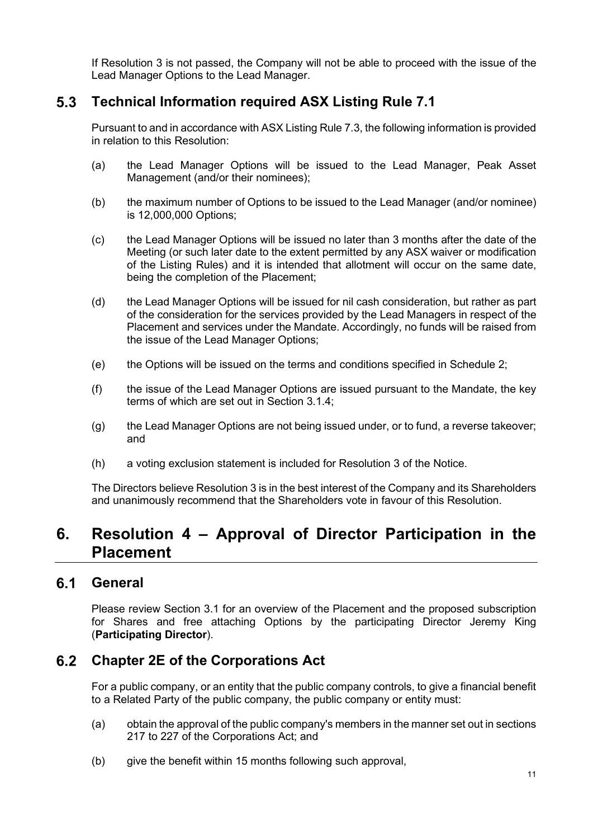If Resolution 3 is not passed, the Company will not be able to proceed with the issue of the Lead Manager Options to the Lead Manager.

#### $5.3$ **Technical Information required ASX Listing Rule 7.1**

Pursuant to and in accordance with ASX Listing Rule 7.3, the following information is provided in relation to this Resolution:

- (a) the Lead Manager Options will be issued to the Lead Manager, Peak Asset Management (and/or their nominees);
- (b) the maximum number of Options to be issued to the Lead Manager (and/or nominee) is 12,000,000 Options;
- (c) the Lead Manager Options will be issued no later than 3 months after the date of the Meeting (or such later date to the extent permitted by any ASX waiver or modification of the Listing Rules) and it is intended that allotment will occur on the same date, being the completion of the Placement;
- (d) the Lead Manager Options will be issued for nil cash consideration, but rather as part of the consideration for the services provided by the Lead Managers in respect of the Placement and services under the Mandate. Accordingly, no funds will be raised from the issue of the Lead Manager Options;
- (e) the Options will be issued on the terms and conditions specified in Schedule 2;
- (f) the issue of the Lead Manager Options are issued pursuant to the Mandate, the key terms of which are set out in Section 3.1.4;
- (g) the Lead Manager Options are not being issued under, or to fund, a reverse takeover; and
- (h) a voting exclusion statement is included for Resolution 3 of the Notice.

The Directors believe Resolution 3 is in the best interest of the Company and its Shareholders and unanimously recommend that the Shareholders vote in favour of this Resolution.

## **6. Resolution 4 – Approval of Director Participation in the Placement**

#### $6.1$ **General**

Please review Section 3.1 for an overview of the Placement and the proposed subscription for Shares and free attaching Options by the participating Director Jeremy King (**Participating Director**).

#### $6.2$ **Chapter 2E of the Corporations Act**

For a public company, or an entity that the public company controls, to give a financial benefit to a Related Party of the public company, the public company or entity must:

- (a) obtain the approval of the public company's members in the manner set out in sections 217 to 227 of the Corporations Act; and
- (b) give the benefit within 15 months following such approval,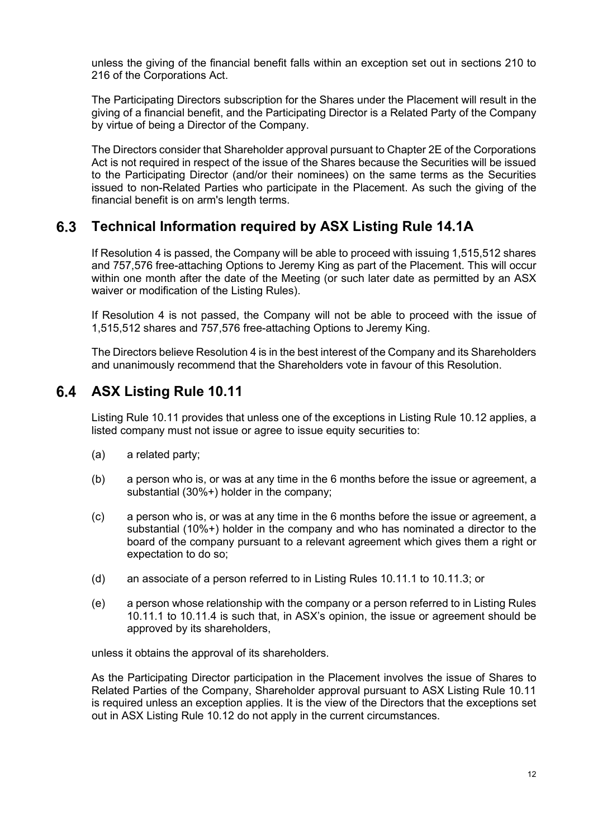unless the giving of the financial benefit falls within an exception set out in sections 210 to 216 of the Corporations Act.

The Participating Directors subscription for the Shares under the Placement will result in the giving of a financial benefit, and the Participating Director is a Related Party of the Company by virtue of being a Director of the Company.

The Directors consider that Shareholder approval pursuant to Chapter 2E of the Corporations Act is not required in respect of the issue of the Shares because the Securities will be issued to the Participating Director (and/or their nominees) on the same terms as the Securities issued to non-Related Parties who participate in the Placement. As such the giving of the financial benefit is on arm's length terms.

#### $6.3$ **Technical Information required by ASX Listing Rule 14.1A**

If Resolution 4 is passed, the Company will be able to proceed with issuing 1,515,512 shares and 757,576 free-attaching Options to Jeremy King as part of the Placement. This will occur within one month after the date of the Meeting (or such later date as permitted by an ASX waiver or modification of the Listing Rules).

If Resolution 4 is not passed, the Company will not be able to proceed with the issue of 1,515,512 shares and 757,576 free-attaching Options to Jeremy King.

The Directors believe Resolution 4 is in the best interest of the Company and its Shareholders and unanimously recommend that the Shareholders vote in favour of this Resolution.

## **ASX Listing Rule 10.11**

Listing Rule 10.11 provides that unless one of the exceptions in Listing Rule 10.12 applies, a listed company must not issue or agree to issue equity securities to:

- (a) a related party;
- (b) a person who is, or was at any time in the 6 months before the issue or agreement, a substantial (30%+) holder in the company;
- (c) a person who is, or was at any time in the 6 months before the issue or agreement, a substantial (10%+) holder in the company and who has nominated a director to the board of the company pursuant to a relevant agreement which gives them a right or expectation to do so;
- (d) an associate of a person referred to in Listing Rules 10.11.1 to 10.11.3; or
- (e) a person whose relationship with the company or a person referred to in Listing Rules 10.11.1 to 10.11.4 is such that, in ASX's opinion, the issue or agreement should be approved by its shareholders,

unless it obtains the approval of its shareholders.

As the Participating Director participation in the Placement involves the issue of Shares to Related Parties of the Company, Shareholder approval pursuant to ASX Listing Rule 10.11 is required unless an exception applies. It is the view of the Directors that the exceptions set out in ASX Listing Rule 10.12 do not apply in the current circumstances.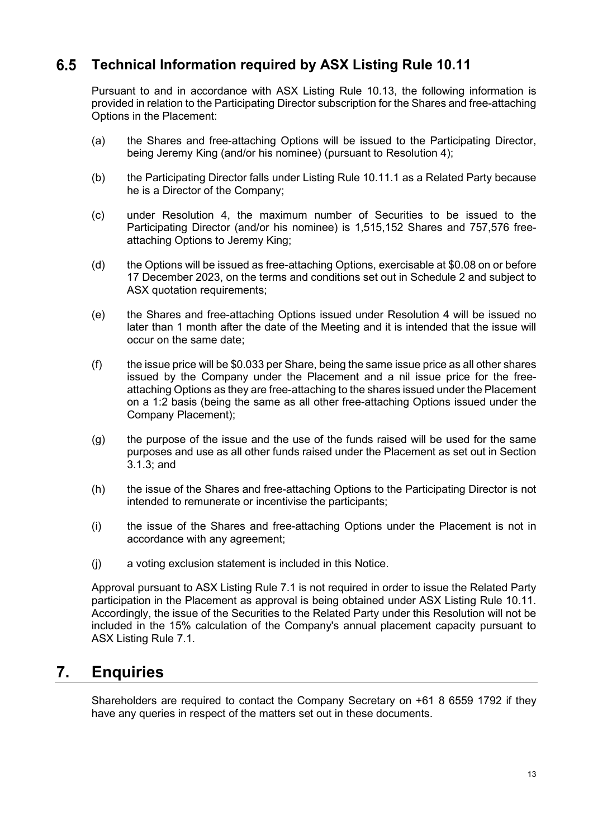#### $6.5$ **Technical Information required by ASX Listing Rule 10.11**

Pursuant to and in accordance with ASX Listing Rule 10.13, the following information is provided in relation to the Participating Director subscription for the Shares and free-attaching Options in the Placement:

- (a) the Shares and free-attaching Options will be issued to the Participating Director, being Jeremy King (and/or his nominee) (pursuant to Resolution 4);
- (b) the Participating Director falls under Listing Rule 10.11.1 as a Related Party because he is a Director of the Company;
- (c) under Resolution 4, the maximum number of Securities to be issued to the Participating Director (and/or his nominee) is 1,515,152 Shares and 757,576 freeattaching Options to Jeremy King;
- (d) the Options will be issued as free-attaching Options, exercisable at \$0.08 on or before 17 December 2023, on the terms and conditions set out in Schedule 2 and subject to ASX quotation requirements;
- (e) the Shares and free-attaching Options issued under Resolution 4 will be issued no later than 1 month after the date of the Meeting and it is intended that the issue will occur on the same date;
- (f) the issue price will be \$0.033 per Share, being the same issue price as all other shares issued by the Company under the Placement and a nil issue price for the freeattaching Options as they are free-attaching to the shares issued under the Placement on a 1:2 basis (being the same as all other free-attaching Options issued under the Company Placement);
- (g) the purpose of the issue and the use of the funds raised will be used for the same purposes and use as all other funds raised under the Placement as set out in Section 3.1.3; and
- (h) the issue of the Shares and free-attaching Options to the Participating Director is not intended to remunerate or incentivise the participants;
- (i) the issue of the Shares and free-attaching Options under the Placement is not in accordance with any agreement;
- (j) a voting exclusion statement is included in this Notice.

Approval pursuant to ASX Listing Rule 7.1 is not required in order to issue the Related Party participation in the Placement as approval is being obtained under ASX Listing Rule 10.11. Accordingly, the issue of the Securities to the Related Party under this Resolution will not be included in the 15% calculation of the Company's annual placement capacity pursuant to ASX Listing Rule 7.1.

## **7. Enquiries**

Shareholders are required to contact the Company Secretary on +61 8 6559 1792 if they have any queries in respect of the matters set out in these documents.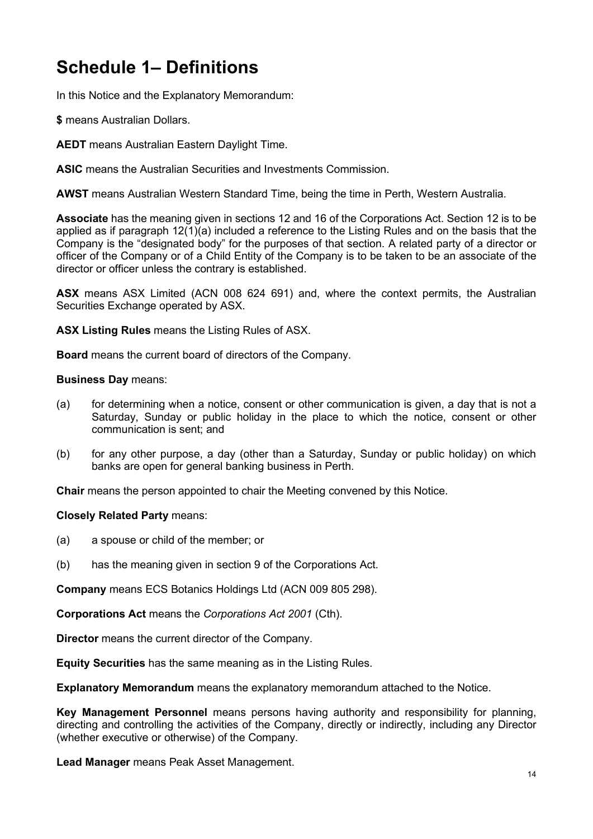## **Schedule 1– Definitions**

In this Notice and the Explanatory Memorandum:

**\$** means Australian Dollars.

**AEDT** means Australian Eastern Daylight Time.

**ASIC** means the Australian Securities and Investments Commission.

**AWST** means Australian Western Standard Time, being the time in Perth, Western Australia.

**Associate** has the meaning given in sections 12 and 16 of the Corporations Act. Section 12 is to be applied as if paragraph 12(1)(a) included a reference to the Listing Rules and on the basis that the Company is the "designated body" for the purposes of that section. A related party of a director or officer of the Company or of a Child Entity of the Company is to be taken to be an associate of the director or officer unless the contrary is established.

**ASX** means ASX Limited (ACN 008 624 691) and, where the context permits, the Australian Securities Exchange operated by ASX.

**ASX Listing Rules** means the Listing Rules of ASX.

**Board** means the current board of directors of the Company.

### **Business Day** means:

- (a) for determining when a notice, consent or other communication is given, a day that is not a Saturday, Sunday or public holiday in the place to which the notice, consent or other communication is sent; and
- (b) for any other purpose, a day (other than a Saturday, Sunday or public holiday) on which banks are open for general banking business in Perth.

**Chair** means the person appointed to chair the Meeting convened by this Notice.

### **Closely Related Party** means:

- (a) a spouse or child of the member; or
- (b) has the meaning given in section 9 of the Corporations Act.

**Company** means ECS Botanics Holdings Ltd (ACN 009 805 298).

**Corporations Act** means the *Corporations Act 2001* (Cth).

**Director** means the current director of the Company.

**Equity Securities** has the same meaning as in the Listing Rules.

**Explanatory Memorandum** means the explanatory memorandum attached to the Notice.

**Key Management Personnel** means persons having authority and responsibility for planning, directing and controlling the activities of the Company, directly or indirectly, including any Director (whether executive or otherwise) of the Company.

**Lead Manager** means Peak Asset Management.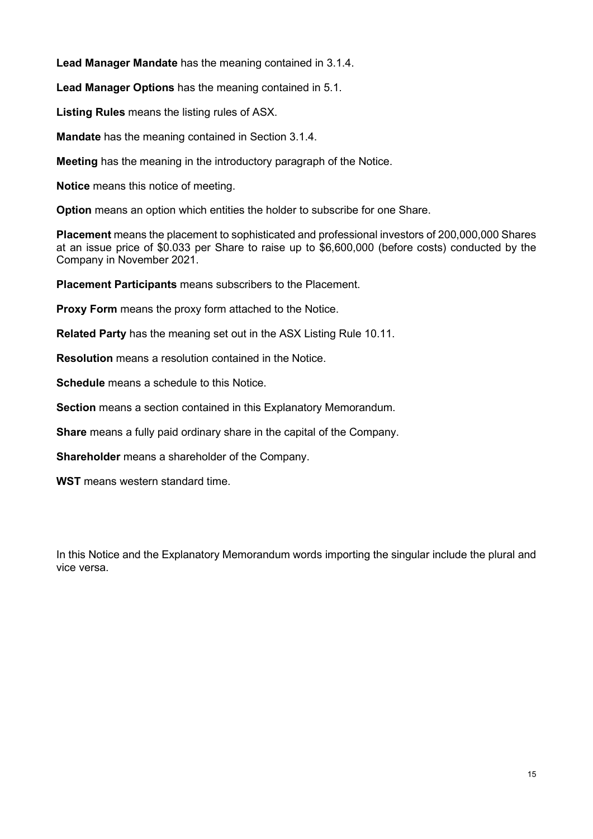**Lead Manager Mandate** has the meaning contained in 3.1.4.

**Lead Manager Options** has the meaning contained in 5.1.

**Listing Rules** means the listing rules of ASX.

**Mandate** has the meaning contained in Section 3.1.4.

**Meeting** has the meaning in the introductory paragraph of the Notice.

**Notice** means this notice of meeting.

**Option** means an option which entities the holder to subscribe for one Share.

**Placement** means the placement to sophisticated and professional investors of 200,000,000 Shares at an issue price of \$0.033 per Share to raise up to \$6,600,000 (before costs) conducted by the Company in November 2021.

**Placement Participants** means subscribers to the Placement.

**Proxy Form** means the proxy form attached to the Notice.

**Related Party** has the meaning set out in the ASX Listing Rule 10.11.

**Resolution** means a resolution contained in the Notice.

**Schedule** means a schedule to this Notice.

**Section** means a section contained in this Explanatory Memorandum.

**Share** means a fully paid ordinary share in the capital of the Company.

**Shareholder** means a shareholder of the Company.

**WST** means western standard time.

In this Notice and the Explanatory Memorandum words importing the singular include the plural and vice versa.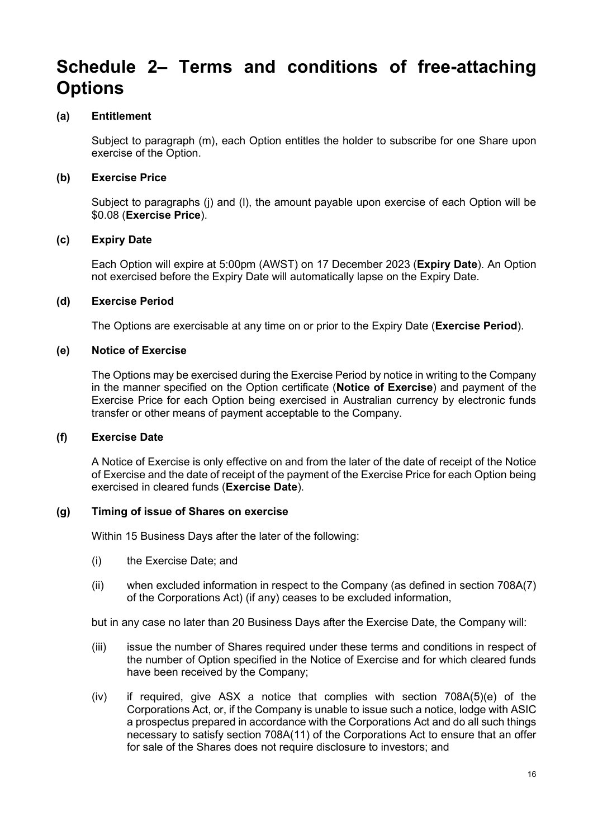## **Schedule 2– Terms and conditions of free-attaching Options**

## **(a) Entitlement**

Subject to paragraph (m), each Option entitles the holder to subscribe for one Share upon exercise of the Option.

## **(b) Exercise Price**

Subject to paragraphs (j) and (l), the amount payable upon exercise of each Option will be \$0.08 (**Exercise Price**).

## **(c) Expiry Date**

Each Option will expire at 5:00pm (AWST) on 17 December 2023 (**Expiry Date**). An Option not exercised before the Expiry Date will automatically lapse on the Expiry Date.

## **(d) Exercise Period**

The Options are exercisable at any time on or prior to the Expiry Date (**Exercise Period**).

## **(e) Notice of Exercise**

The Options may be exercised during the Exercise Period by notice in writing to the Company in the manner specified on the Option certificate (**Notice of Exercise**) and payment of the Exercise Price for each Option being exercised in Australian currency by electronic funds transfer or other means of payment acceptable to the Company.

### **(f) Exercise Date**

A Notice of Exercise is only effective on and from the later of the date of receipt of the Notice of Exercise and the date of receipt of the payment of the Exercise Price for each Option being exercised in cleared funds (**Exercise Date**).

## **(g) Timing of issue of Shares on exercise**

Within 15 Business Days after the later of the following:

- (i) the Exercise Date; and
- (ii) when excluded information in respect to the Company (as defined in section 708A(7) of the Corporations Act) (if any) ceases to be excluded information,

but in any case no later than 20 Business Days after the Exercise Date, the Company will:

- (iii) issue the number of Shares required under these terms and conditions in respect of the number of Option specified in the Notice of Exercise and for which cleared funds have been received by the Company;
- (iv) if required, give ASX a notice that complies with section 708A(5)(e) of the Corporations Act, or, if the Company is unable to issue such a notice, lodge with ASIC a prospectus prepared in accordance with the Corporations Act and do all such things necessary to satisfy section 708A(11) of the Corporations Act to ensure that an offer for sale of the Shares does not require disclosure to investors; and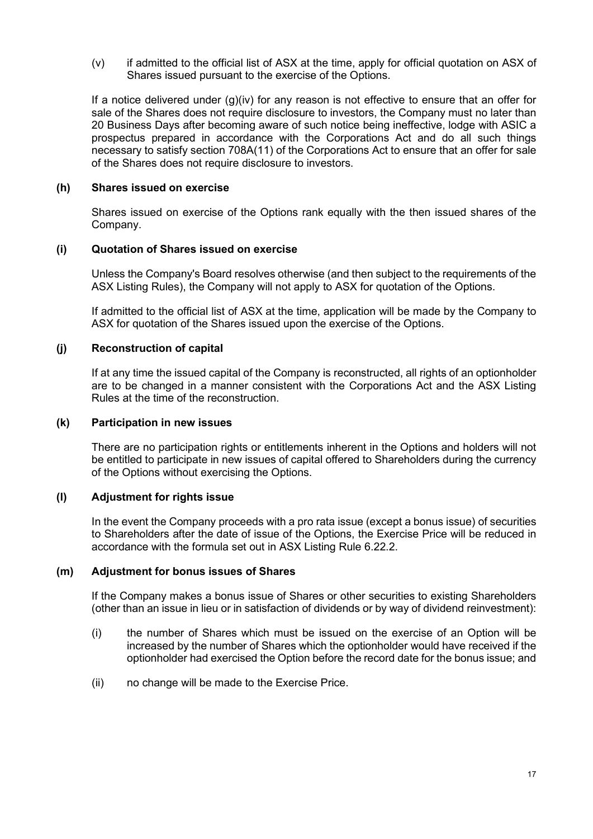(v) if admitted to the official list of ASX at the time, apply for official quotation on ASX of Shares issued pursuant to the exercise of the Options.

If a notice delivered under (g)(iv) for any reason is not effective to ensure that an offer for sale of the Shares does not require disclosure to investors, the Company must no later than 20 Business Days after becoming aware of such notice being ineffective, lodge with ASIC a prospectus prepared in accordance with the Corporations Act and do all such things necessary to satisfy section 708A(11) of the Corporations Act to ensure that an offer for sale of the Shares does not require disclosure to investors.

### **(h) Shares issued on exercise**

Shares issued on exercise of the Options rank equally with the then issued shares of the Company.

## **(i) Quotation of Shares issued on exercise**

Unless the Company's Board resolves otherwise (and then subject to the requirements of the ASX Listing Rules), the Company will not apply to ASX for quotation of the Options.

If admitted to the official list of ASX at the time, application will be made by the Company to ASX for quotation of the Shares issued upon the exercise of the Options.

## **(j) Reconstruction of capital**

If at any time the issued capital of the Company is reconstructed, all rights of an optionholder are to be changed in a manner consistent with the Corporations Act and the ASX Listing Rules at the time of the reconstruction.

### **(k) Participation in new issues**

There are no participation rights or entitlements inherent in the Options and holders will not be entitled to participate in new issues of capital offered to Shareholders during the currency of the Options without exercising the Options.

### **(l) Adjustment for rights issue**

In the event the Company proceeds with a pro rata issue (except a bonus issue) of securities to Shareholders after the date of issue of the Options, the Exercise Price will be reduced in accordance with the formula set out in ASX Listing Rule 6.22.2.

## **(m) Adjustment for bonus issues of Shares**

If the Company makes a bonus issue of Shares or other securities to existing Shareholders (other than an issue in lieu or in satisfaction of dividends or by way of dividend reinvestment):

- (i) the number of Shares which must be issued on the exercise of an Option will be increased by the number of Shares which the optionholder would have received if the optionholder had exercised the Option before the record date for the bonus issue; and
- (ii) no change will be made to the Exercise Price.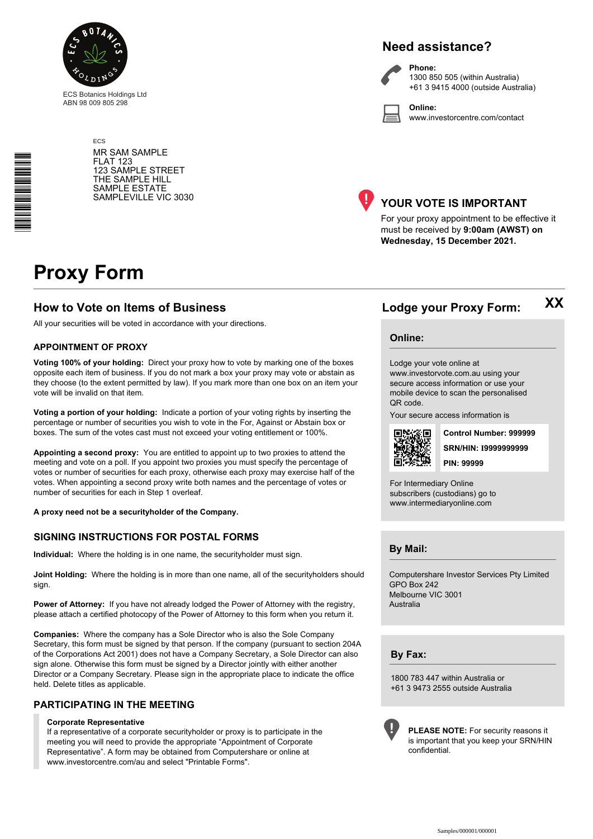

ECS Botanics Holdings Ltd ABN 98 009 805 298

 $ECC$ 

## **Need assistance?**



**Phone:** 1300 850 505 (within Australia) +61 3 9415 4000 (outside Australia)

**Online:** www.investorcentre.com/contact

| <b>MR SAM SAMPLE</b>     |
|--------------------------|
| FI AT 123                |
| <b>123 SAMPLE STREET</b> |
| THE SAMPLE HILL          |
| SAMPLE ESTATE            |
| SAMPLEVILLE VIC 3030     |
|                          |



## **YOUR VOTE IS IMPORTANT**

For your proxy appointment to be effective it must be received by **9:00am (AWST) on Wednesday, 15 December 2021.**

## **Proxy Form**

## **How to Vote on Items of Business Lodge your Proxy Form:**

All your securities will be voted in accordance with your directions.

### **APPOINTMENT OF PROXY**

**Voting 100% of your holding:** Direct your proxy how to vote by marking one of the boxes opposite each item of business. If you do not mark a box your proxy may vote or abstain as they choose (to the extent permitted by law). If you mark more than one box on an item your vote will be invalid on that item.

**Voting a portion of your holding:** Indicate a portion of your voting rights by inserting the percentage or number of securities you wish to vote in the For, Against or Abstain box or boxes. The sum of the votes cast must not exceed your voting entitlement or 100%.

**Appointing a second proxy:** You are entitled to appoint up to two proxies to attend the meeting and vote on a poll. If you appoint two proxies you must specify the percentage of votes or number of securities for each proxy, otherwise each proxy may exercise half of the votes. When appointing a second proxy write both names and the percentage of votes or number of securities for each in Step 1 overleaf.

**A proxy need not be a securityholder of the Company.**

### **SIGNING INSTRUCTIONS FOR POSTAL FORMS**

**Individual:** Where the holding is in one name, the securityholder must sign.

**Joint Holding:** Where the holding is in more than one name, all of the securityholders should sign.

**Power of Attorney:** If you have not already lodged the Power of Attorney with the registry, please attach a certified photocopy of the Power of Attorney to this form when you return it.

**Companies:** Where the company has a Sole Director who is also the Sole Company Secretary, this form must be signed by that person. If the company (pursuant to section 204A of the Corporations Act 2001) does not have a Company Secretary, a Sole Director can also sign alone. Otherwise this form must be signed by a Director jointly with either another Director or a Company Secretary. Please sign in the appropriate place to indicate the office held. Delete titles as applicable.

### **PARTICIPATING IN THE MEETING**

#### **Corporate Representative**

If a representative of a corporate securityholder or proxy is to participate in the meeting you will need to provide the appropriate "Appointment of Corporate Representative". A form may be obtained from Computershare or online at www.investorcentre.com/au and select "Printable Forms".

#### **Online:**

Lodge your vote online at www.investorvote.com.au using your

secure access information or use your mobile device to scan the personalised QR code.

Your secure access information is



**SRN/HIN: I9999999999 Control Number: 999999 PIN: 99999**

**XX**

For Intermediary Online subscribers (custodians) go to www.intermediaryonline.com

**By Mail:**

Computershare Investor Services Pty Limited GPO Box 242 Melbourne VIC 3001 Australia

**By Fax:**

1800 783 447 within Australia or +61 3 9473 2555 outside Australia



**PLEASE NOTE:** For security reasons it is important that you keep your SRN/HIN confidential.